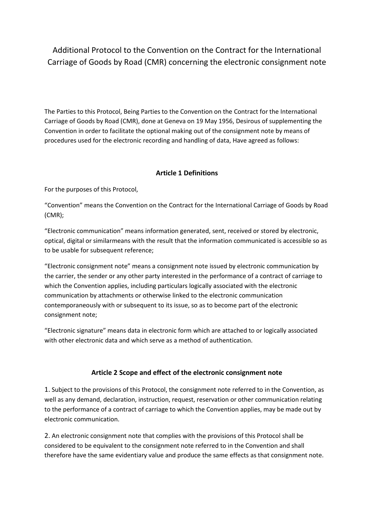Additional Protocol to the Convention on the Contract for the International Carriage of Goods by Road (CMR) concerning the electronic consignment note

The Parties to this Protocol, Being Parties to the Convention on the Contract for the International Carriage of Goods by Road (CMR), done at Geneva on 19 May 1956, Desirous of supplementing the Convention in order to facilitate the optional making out of the consignment note by means of procedures used for the electronic recording and handling of data, Have agreed as follows:

# **Article 1 Definitions**

For the purposes of this Protocol,

"Convention" means the Convention on the Contract for the International Carriage of Goods by Road (CMR);

"Electronic communication" means information generated, sent, received or stored by electronic, optical, digital or similarmeans with the result that the information communicated is accessible so as to be usable for subsequent reference;

"Electronic consignment note" means a consignment note issued by electronic communication by the carrier, the sender or any other party interested in the performance of a contract of carriage to which the Convention applies, including particulars logically associated with the electronic communication by attachments or otherwise linked to the electronic communication contemporaneously with or subsequent to its issue, so as to become part of the electronic consignment note;

"Electronic signature" means data in electronic form which are attached to or logically associated with other electronic data and which serve as a method of authentication.

# **Article 2 Scope and effect of the electronic consignment note**

1. Subject to the provisions of this Protocol, the consignment note referred to in the Convention, as well as any demand, declaration, instruction, request, reservation or other communication relating to the performance of a contract of carriage to which the Convention applies, may be made out by electronic communication.

2. An electronic consignment note that complies with the provisions of this Protocol shall be considered to be equivalent to the consignment note referred to in the Convention and shall therefore have the same evidentiary value and produce the same effects as that consignment note.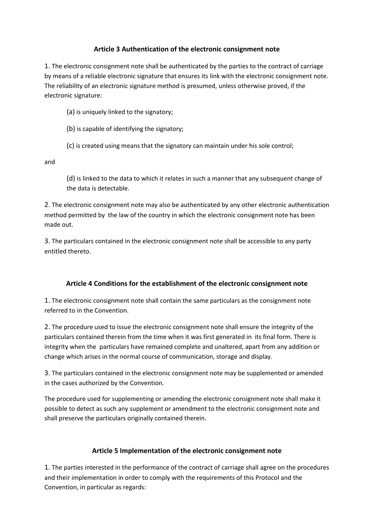### **Article 3 Authentication of the electronic consignment note**

1. The electronic consignment note shall be authenticated by the parties to the contract of carriage by means of a reliable electronic signature that ensures its link with the electronic consignment note. The reliability of an electronic signature method is presumed, unless otherwise proved, if the electronic signature:

(a) is uniquely linked to the signatory;

(b) is capable of identifying the signatory;

(c) is created using means that the signatory can maintain under his sole control;

and

(d) is linked to the data to which it relates in such a manner that any subsequent change of the data is detectable.

2. The electronic consignment note may also be authenticated by any other electronic authentication method permitted by the law of the country in which the electronic consignment note has been made out.

3. The particulars contained in the electronic consignment note shall be accessible to any party entitled thereto.

# **Article 4 Conditions for the establishment of the electronic consignment note**

1. The electronic consignment note shall contain the same particulars as the consignment note referred to in the Convention.

2. The procedure used to issue the electronic consignment note shall ensure the integrity of the particulars contained therein from the time when it was first generated in its final form. There is integrity when the particulars have remained complete and unaltered, apart from any addition or change which arises in the normal course of communication, storage and display.

3. The particulars contained in the electronic consignment note may be supplemented or amended in the cases authorized by the Convention.

The procedure used for supplementing or amending the electronic consignment note shall make it possible to detect as such any supplement or amendment to the electronic consignment note and shall preserve the particulars originally contained therein.

# **Article 5 Implementation of the electronic consignment note**

1. The parties interested in the performance of the contract of carriage shall agree on the procedures and their implementation in order to comply with the requirements of this Protocol and the Convention, in particular as regards: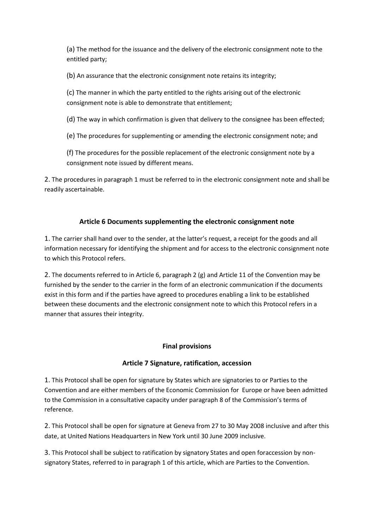(a) The method for the issuance and the delivery of the electronic consignment note to the entitled party;

(b) An assurance that the electronic consignment note retains its integrity;

(c) The manner in which the party entitled to the rights arising out of the electronic consignment note is able to demonstrate that entitlement;

(d) The way in which confirmation is given that delivery to the consignee has been effected;

(e) The procedures for supplementing or amending the electronic consignment note; and

(f) The procedures for the possible replacement of the electronic consignment note by a consignment note issued by different means.

2. The procedures in paragraph 1 must be referred to in the electronic consignment note and shall be readily ascertainable.

# **Article 6 Documents supplementing the electronic consignment note**

1. The carrier shall hand over to the sender, at the latter's request, a receipt for the goods and all information necessary for identifying the shipment and for access to the electronic consignment note to which this Protocol refers.

2. The documents referred to in Article 6, paragraph 2 (g) and Article 11 of the Convention may be furnished by the sender to the carrier in the form of an electronic communication if the documents exist in this form and if the parties have agreed to procedures enabling a link to be established between these documents and the electronic consignment note to which this Protocol refers in a manner that assures their integrity.

# **Final provisions**

# **Article 7 Signature, ratification, accession**

1. This Protocol shall be open for signature by States which are signatories to or Parties to the Convention and are either members of the Economic Commission for Europe or have been admitted to the Commission in a consultative capacity under paragraph 8 of the Commission's terms of reference.

2. This Protocol shall be open for signature at Geneva from 27 to 30 May 2008 inclusive and after this date, at United Nations Headquarters in New York until 30 June 2009 inclusive.

3. This Protocol shall be subject to ratification by signatory States and open foraccession by nonsignatory States, referred to in paragraph 1 of this article, which are Parties to the Convention.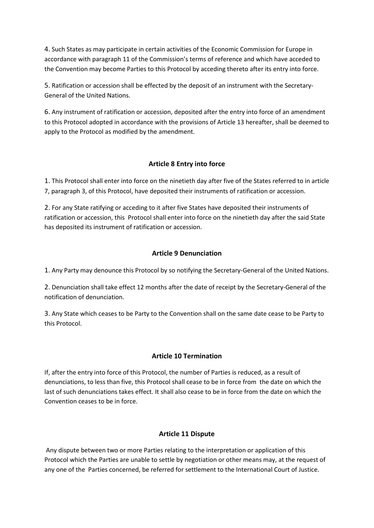4. Such States as may participate in certain activities of the Economic Commission for Europe in accordance with paragraph 11 of the Commission's terms of reference and which have acceded to the Convention may become Parties to this Protocol by acceding thereto after its entry into force.

5. Ratification or accession shall be effected by the deposit of an instrument with the Secretary-General of the United Nations.

6. Any instrument of ratification or accession, deposited after the entry into force of an amendment to this Protocol adopted in accordance with the provisions of Article 13 hereafter, shall be deemed to apply to the Protocol as modified by the amendment.

### **Article 8 Entry into force**

1. This Protocol shall enter into force on the ninetieth day after five of the States referred to in article 7, paragraph 3, of this Protocol, have deposited their instruments of ratification or accession.

2. For any State ratifying or acceding to it after five States have deposited their instruments of ratification or accession, this Protocol shall enter into force on the ninetieth day after the said State has deposited its instrument of ratification or accession.

### **Article 9 Denunciation**

1. Any Party may denounce this Protocol by so notifying the Secretary-General of the United Nations.

2. Denunciation shall take effect 12 months after the date of receipt by the Secretary-General of the notification of denunciation.

3. Any State which ceases to be Party to the Convention shall on the same date cease to be Party to this Protocol.

#### **Article 10 Termination**

If, after the entry into force of this Protocol, the number of Parties is reduced, as a result of denunciations, to less than five, this Protocol shall cease to be in force from the date on which the last of such denunciations takes effect. It shall also cease to be in force from the date on which the Convention ceases to be in force.

#### **Article 11 Dispute**

Any dispute between two or more Parties relating to the interpretation or application of this Protocol which the Parties are unable to settle by negotiation or other means may, at the request of any one of the Parties concerned, be referred for settlement to the International Court of Justice.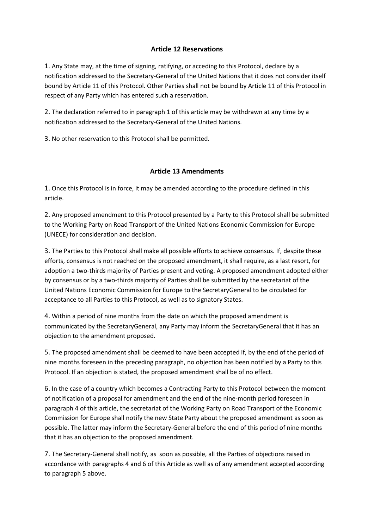### **Article 12 Reservations**

1. Any State may, at the time of signing, ratifying, or acceding to this Protocol, declare by a notification addressed to the Secretary-General of the United Nations that it does not consider itself bound by Article 11 of this Protocol. Other Parties shall not be bound by Article 11 of this Protocol in respect of any Party which has entered such a reservation.

2. The declaration referred to in paragraph 1 of this article may be withdrawn at any time by a notification addressed to the Secretary-General of the United Nations.

3. No other reservation to this Protocol shall be permitted.

### **Article 13 Amendments**

1. Once this Protocol is in force, it may be amended according to the procedure defined in this article.

2. Any proposed amendment to this Protocol presented by a Party to this Protocol shall be submitted to the Working Party on Road Transport of the United Nations Economic Commission for Europe (UNECE) for consideration and decision.

3. The Parties to this Protocol shall make all possible efforts to achieve consensus. If, despite these efforts, consensus is not reached on the proposed amendment, it shall require, as a last resort, for adoption a two-thirds majority of Parties present and voting. A proposed amendment adopted either by consensus or by a two-thirds majority of Parties shall be submitted by the secretariat of the United Nations Economic Commission for Europe to the SecretaryGeneral to be circulated for acceptance to all Parties to this Protocol, as well as to signatory States.

4. Within a period of nine months from the date on which the proposed amendment is communicated by the SecretaryGeneral, any Party may inform the SecretaryGeneral that it has an objection to the amendment proposed.

5. The proposed amendment shall be deemed to have been accepted if, by the end of the period of nine months foreseen in the preceding paragraph, no objection has been notified by a Party to this Protocol. If an objection is stated, the proposed amendment shall be of no effect.

6. In the case of a country which becomes a Contracting Party to this Protocol between the moment of notification of a proposal for amendment and the end of the nine-month period foreseen in paragraph 4 of this article, the secretariat of the Working Party on Road Transport of the Economic Commission for Europe shall notify the new State Party about the proposed amendment as soon as possible. The latter may inform the Secretary-General before the end of this period of nine months that it has an objection to the proposed amendment.

7. The Secretary-General shall notify, as soon as possible, all the Parties of objections raised in accordance with paragraphs 4 and 6 of this Article as well as of any amendment accepted according to paragraph 5 above.